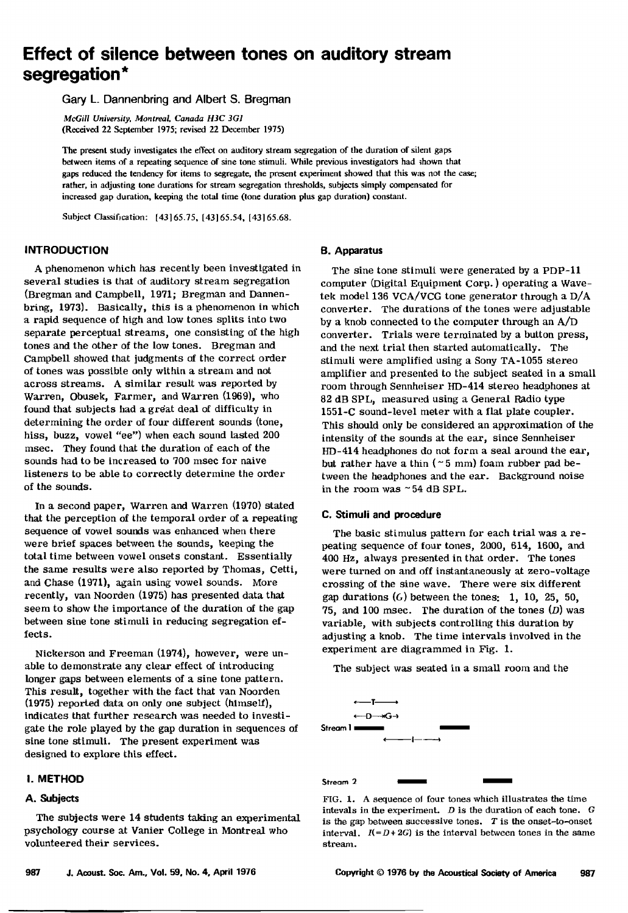# **Effect of silence between tones on auditory stream segregation\***

**Gary L. Dannenbring and Albert S. Bregman** 

**McGill University. Montreal. Canada H\$C \$G1 (Received 22 September 1975; revised 22 December 1975)** 

**The present study investigates the effect on auditory stream segregation of the duration of silent gaps between items of a repeating sequence of sine tone stimuli. While previous investigators had •hown that gaps reduced the tendency for items to segregate, the present experiment showed that this was not the case; rather, in adjusting tone durations for stream segregation thresholds, subjects simply compensated for increased gap duration, keeping the total time (tone duration plus gap duration) constant.** 

**Subject Classification: [43165.75, [43165.54, [43165.68.** 

#### **INTRODUCTION**

**A phenomenon which has recently been investigated in several studies is that of auditory stream segregation (Bregman and Campbell, 1971; Bregman and Dannenbring, 1973). Basically, this is a phenomenon in which a rapid sequence of high and low tones splits into two separate perceptual streams, one consisting of the high tones and the other of the low tones. Bregman and Campbell showed that judgments of the correct order of tones was possible only within a stream and not across streams. A similar result was reported by Warren, Obusek, Farmer, and Warren (1969), who**  found that subjects had a great deal of difficulty in **determining the order of four different sounds (tone, hiss, buzz, vowel "ee") when each sound lasted 200 msec. They found that the duration of each of the sounds had to be increased to 700 msec for naive listeners to be able to correctly determine the order of the sounds.** 

**In a second paper, Warren and Warren (1970) stated that the perception of the temporal order of a repeating sequence of vowel sounds was enhanced when there were brief spaces between the sounds, keeping the total time between vowel onsets constant. Essentially the same results were also reported by Thomas, Cetti, and Chase (1971), again using vowel sounds. More recently, van Noorden (1975) has presented data that seem to show the importance of the duration of the gap between sine tone stimuli in reducing segregation effects.** 

**Nickerson and Freeman (1974), however, were unable to demonstrate any clear effect of introducing longer gaps between elements of a sine tone pattern. This result, together with the fact that van Noorden (1975) reported data on only one subject (himseLf), indicates that further research was needed to investigate the role played by the gap duration in sequences of sine tone stimuli. The present experiment was designed to explore this effect.** 

# **I. METHOD**

## **A. Subjects**

**The subjects were 14 students taking an experimental psychology course at Vanier College in Montreal who volunteered their services.** 

#### **B. Apparatus**

**The sine tone stimuli were generated by a PDP-11 computer (Digital Equipment Corp. ) operating a Wavetek model 136 VCA/VCG tone generator through a D/A converter. The durations of the tones were adjustable by a knob connected to the computer through an A/D**  converter. Trials were terminated by a button press, and the next trial then started automatically. The **stimuli were amplified using a Sony TA-1055 stereo amplifier and presented to the subject seated in a small room through Sennheiser HD-414 stereo headphones at 82 dB SPL, measured using a General Radio type 1551-C sound-level meter with a flat plate coupler.**  This should only be considered an approximation of the **intensity of the sounds at the ear, since Sennheiser**  HD-414 headphones do not form a seal around the ear, **but rather have a thin {- 5 mm) foam rubber pad between the headphones and the ear. Background noise**  in the room was ~54 dB SPL.

## **C. Stimuli and procedure**

**The basic stimulus pattern for each trial was a repeating sequence of four tones, 2000, 614, 1õ00, and 400 Hz, always presented in that order. The tones were turned on and off instantaneously at zero-voltage crossing of the sine wave. There were six different gap durations (6) between the tones: 1, 10, 25, 50, 75, and 100 msec. The duration of the tones (D) was variable, with subjects controlling this duration by adjusting a knob. The time intervals involved in the experiment are diagrammed in Fig. 1.** 

**The subject was seated in a small room and the** 



**Stream 2** 

FIG. 1. A sequence of four tones which illustrates the time **intevals in the experiment. D is the duration of each bane. G is the gap between successive tones. T is the onset-to-onset interval.**  $I(-D+2G)$  is the interval between tones in the same **stream.**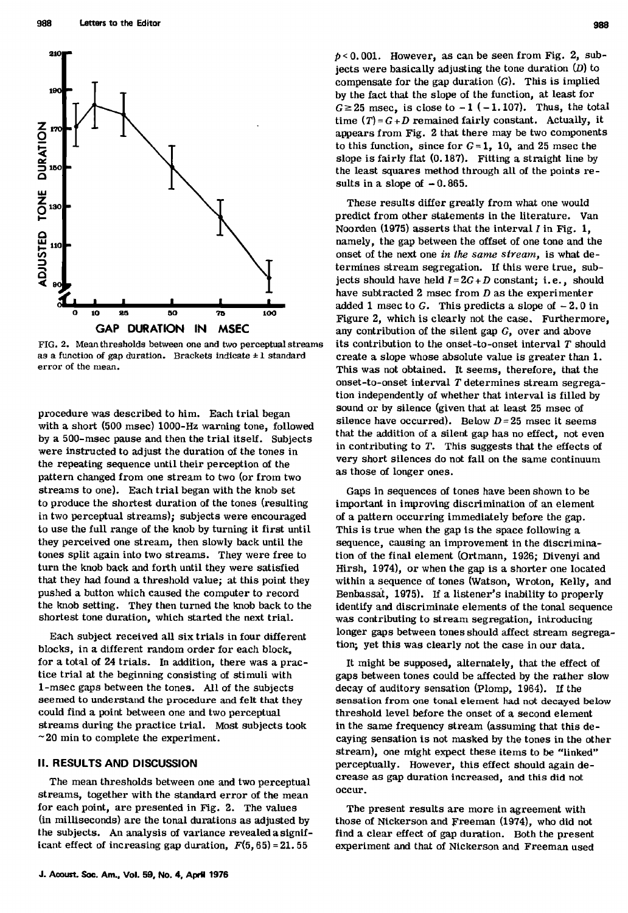

**FIG. 2. Mean thresholds between one and two perceptual streams**  as a function of gap duration. Brackets indicate  $\pm 1$  standard **error of the mean.** 

**procedure was described to him. Each trial began with a short (500 msec) 1000-Hz warning tone, followed by a 500-msec pause and then the trial itseft. Subjects were instructed to adjust the duration of the tones in the repeating sequence until their perception of the pattern changed from one stream to two (or from two streams to one). Each trial began with the knob set to produce the shortest duration of the tones (resulting in two perceptual streams); subjects were encouraged to use the full range of the knob by turning it first until they perceived one stream, then slowly back until the tones split again into two streams. They were free to turn the knob back and forth until they were satisfied that they had found a threshold value; at this point they pushed a button which caused the computer to record the knob setting. They then turned the knob back to the shortest tone duration, which started the next trial.** 

**Each subject received all six trials in four different blocks, in a different random order for each block, for a total of 24 trials. In addition, there was a practice trial at the beginning consisting of stimuli with 1-msec gaps between the tones. All of the subjects seemed to understand the procedure and felt that they could find a point between one and two perceptual streams during the practice trial. Most subjects took -20 rain to complete the experiment.** 

#### **II. RESULTS AND DISCUSSION**

**The mean thresholds between one and two perceptual streams, together with the standard error of the mean for each point, are presented in Fig. 2. The values (in milliseconds) are the tonal durstions as adjusted by the subjects. An analysis of variance revealed a significant effect of increasing gap duration,**  $F(5, 65) = 21.55$ 

**p< 0.001. However, as can be seen from Fig. 2, sub**iects were basically adjusting the tone duration  $(D)$  to **compensate for the gap duration (G). This is implied by the fact that the slope of the function, at least for**   $G \geq 25$  msec, is close to  $-1$  ( $-1.107$ ). Thus, the total time  $(T) = G + D$  remained fairly constant. Actually, it **appears from Fig. 2 that there may be two components**  to this function, since for  $G = 1$ , 10, and 25 msec the **slope is fairly flat (0. 187). Fitting a straight line by**  the least squares method through all of the points re**suits in a slope of -0.865.** 

**These results differ greatly from what one would predict from other statements in the literature. Van Noorden (1975) asserts that the interval 1 in Fig. 1, namely, the gap between the offset of one tone and the onset of the next one in the same stream, is what determines stream segregation. If this were true, subjects should have held**  $I = 2G + D$  **constant; i.e., should have subtracted 2 msec from D as the experimenter added i msec to G. This predicts a slope of - 2.0 in Figure 2, which is clearly not the case. Furthermore, any contribution of the silent gap G, over and above its contribution to the onset-to-onset interval T should create a slope whose absolute value is greater than 1. This was not obtained. It seems, therefore, that the onset-to-onset interval T determines stream segregation independently of whether that interval is filled by**  sound or by silence (given that at least 25 msec of **silence have occurred). Below D= 25 msec it seems that the addition of a silent gap has no effect, not even in contributing to T. This suggests that the effects of very short silences do not fall on the same continuum as those of longer ones.** 

**Gaps in sequences of tones have been shown to be important in improving discrimination of an element of a pattern occurring immediately before the gap. This is true when the gap is the space following a sequence, causing an improvement in the discrimination of the final element (Oftmann, 1926; Divenyi and Hirsh, 1974), or when the gap is a shorter one located within a sequence of tones (Watson, Wroton, Kelly, and Benbasset, 1975). If a listener's inability to properly identify and discriminate elements of the tonal sequence was contributing to stream segregation, introducing longer gaps between tones should affect stream segregation; yet this was clearly not the case in our data.** 

**It might be supposed, alternately, that the effect of gaps between tones could be affected by the rather slow decay of auditory sensation (Plomp, 1964). If the**  sensation from one tonal element had not decayed below **threshold level before the onset of a second element in the same frequency stream (assuming that this decaying sensation is not masked by the tones in the other stream), one might expect these items to be "linked" perceptually. However, this effect should again decrease as gap duration increased, and this did not occur.** 

**The present results are more in agreement with those of Nickerson and Freeman (1974), who did not find a clear effect of gap duration. Both the present experiment and that of Ntckerson and Freeman used**